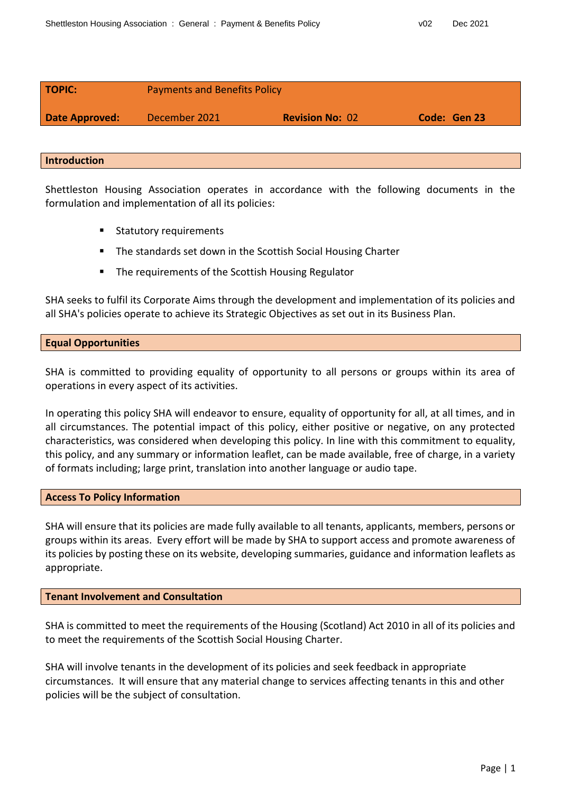| <b>TOPIC:</b>         | <b>Payments and Benefits Policy</b> |                        |              |
|-----------------------|-------------------------------------|------------------------|--------------|
| <b>Date Approved:</b> | December 2021                       | <b>Revision No: 02</b> | Code: Gen 23 |
|                       |                                     |                        |              |

### **Introduction**

Shettleston Housing Association operates in accordance with the following documents in the formulation and implementation of all its policies:

- **Statutory requirements**
- The standards set down in the Scottish Social Housing Charter
- **The requirements of the Scottish Housing Regulator**

SHA seeks to fulfil its Corporate Aims through the development and implementation of its policies and all SHA's policies operate to achieve its Strategic Objectives as set out in its Business Plan.

# **Equal Opportunities**

SHA is committed to providing equality of opportunity to all persons or groups within its area of operations in every aspect of its activities.

In operating this policy SHA will endeavor to ensure, equality of opportunity for all, at all times, and in all circumstances. The potential impact of this policy, either positive or negative, on any protected characteristics, was considered when developing this policy. In line with this commitment to equality, this policy, and any summary or information leaflet, can be made available, free of charge, in a variety of formats including; large print, translation into another language or audio tape.

#### **Access To Policy Information**

SHA will ensure that its policies are made fully available to all tenants, applicants, members, persons or groups within its areas. Every effort will be made by SHA to support access and promote awareness of its policies by posting these on its website, developing summaries, guidance and information leaflets as appropriate.

#### **Tenant Involvement and Consultation**

SHA is committed to meet the requirements of the Housing (Scotland) Act 2010 in all of its policies and to meet the requirements of the Scottish Social Housing Charter.

SHA will involve tenants in the development of its policies and seek feedback in appropriate circumstances. It will ensure that any material change to services affecting tenants in this and other policies will be the subject of consultation.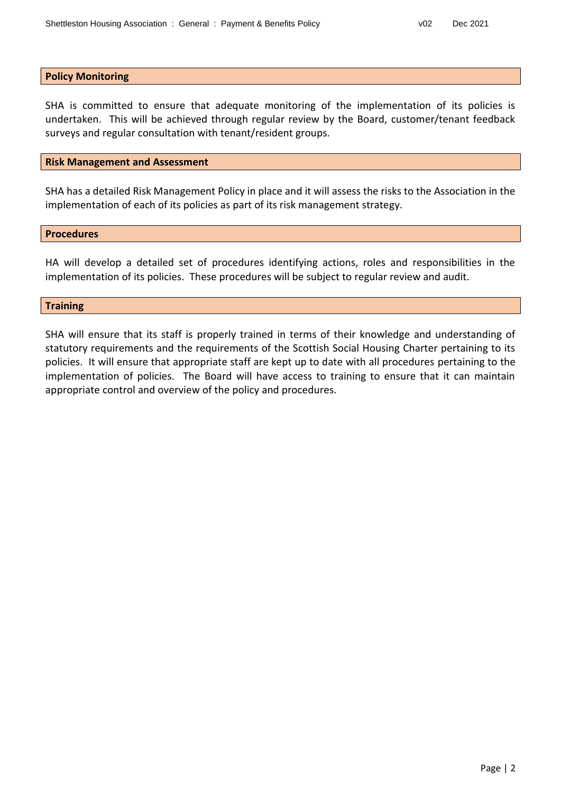#### **Policy Monitoring**

SHA is committed to ensure that adequate monitoring of the implementation of its policies is undertaken. This will be achieved through regular review by the Board, customer/tenant feedback surveys and regular consultation with tenant/resident groups.

#### **Risk Management and Assessment**

SHA has a detailed Risk Management Policy in place and it will assess the risks to the Association in the implementation of each of its policies as part of its risk management strategy.

#### **Procedures**

HA will develop a detailed set of procedures identifying actions, roles and responsibilities in the implementation of its policies. These procedures will be subject to regular review and audit.

### **Training**

SHA will ensure that its staff is properly trained in terms of their knowledge and understanding of statutory requirements and the requirements of the Scottish Social Housing Charter pertaining to its policies. It will ensure that appropriate staff are kept up to date with all procedures pertaining to the implementation of policies. The Board will have access to training to ensure that it can maintain appropriate control and overview of the policy and procedures.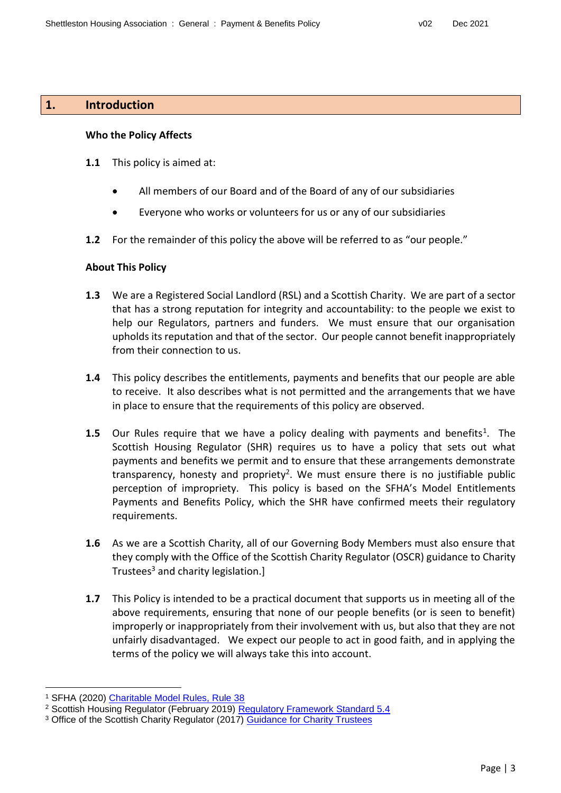# **1. Introduction**

### **Who the Policy Affects**

- **1.1** This policy is aimed at:
	- All members of our Board and of the Board of any of our subsidiaries
	- Everyone who works or volunteers for us or any of our subsidiaries
- **1.2** For the remainder of this policy the above will be referred to as "our people."

# **About This Policy**

- **1.3** We are a Registered Social Landlord (RSL) and a Scottish Charity. We are part of a sector that has a strong reputation for integrity and accountability: to the people we exist to help our Regulators, partners and funders. We must ensure that our organisation upholds its reputation and that of the sector. Our people cannot benefit inappropriately from their connection to us.
- **1.4** This policy describes the entitlements, payments and benefits that our people are able to receive. It also describes what is not permitted and the arrangements that we have in place to ensure that the requirements of this policy are observed.
- **1.5** Our Rules require that we have a policy dealing with payments and benefits<sup>1</sup>. The Scottish Housing Regulator (SHR) requires us to have a policy that sets out what payments and benefits we permit and to ensure that these arrangements demonstrate transparency, honesty and propriety<sup>2</sup>. We must ensure there is no justifiable public perception of impropriety. This policy is based on the SFHA's Model Entitlements Payments and Benefits Policy, which the SHR have confirmed meets their regulatory requirements.
- **1.6** As we are a Scottish Charity, all of our Governing Body Members must also ensure that they comply with the Office of the Scottish Charity Regulator (OSCR) guidance to Charity Trustees<sup>3</sup> and charity legislation.]
- **1.7** This Policy is intended to be a practical document that supports us in meeting all of the above requirements, ensuring that none of our people benefits (or is seen to benefit) improperly or inappropriately from their involvement with us, but also that they are not unfairly disadvantaged. We expect our people to act in good faith, and in applying the terms of the policy we will always take this into account.

l <sup>1</sup> SFHA (2020) [Charitable Model Rules, Rule 38](https://www.sfha.co.uk/download.php?file=1393)

<sup>2</sup> Scottish Housing Regulator (February 2019) [Regulatory Framework Standard 5.4](https://www.housingregulator.gov.scot/for-landlords/regulatory-framework)

<sup>&</sup>lt;sup>3</sup> Office of the Scottish Charity Regulator (2017) [Guidance for Charity Trustees](https://www.oscr.org.uk/guidance-and-forms/managing-a-charity-guidance/guidance-and-good-practice-for-charity-trustees/)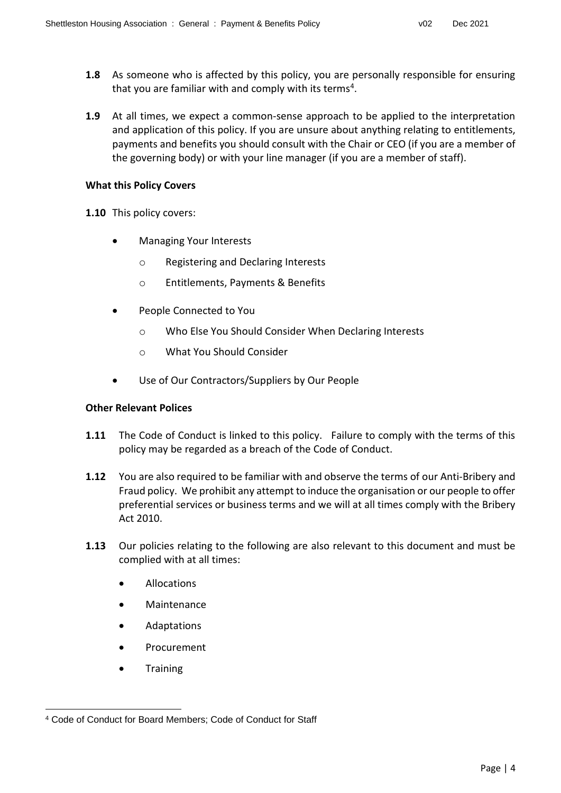- **1.8** As someone who is affected by this policy, you are personally responsible for ensuring that you are familiar with and comply with its terms<sup>4</sup>.
- **1.9** At all times, we expect a common-sense approach to be applied to the interpretation and application of this policy. If you are unsure about anything relating to entitlements, payments and benefits you should consult with the Chair or CEO (if you are a member of the governing body) or with your line manager (if you are a member of staff).

# **What this Policy Covers**

- **1.10** This policy covers:
	- Managing Your Interests
		- o Registering and Declaring Interests
		- o Entitlements, Payments & Benefits
	- People Connected to You
		- o Who Else You Should Consider When Declaring Interests
		- o What You Should Consider
	- Use of Our Contractors/Suppliers by Our People

# **Other Relevant Polices**

- **1.11** The Code of Conduct is linked to this policy. Failure to comply with the terms of this policy may be regarded as a breach of the Code of Conduct.
- **1.12** You are also required to be familiar with and observe the terms of our Anti-Bribery and Fraud policy. We prohibit any attempt to induce the organisation or our people to offer preferential services or business terms and we will at all times comply with the Bribery Act 2010.
- **1.13** Our policies relating to the following are also relevant to this document and must be complied with at all times:
	- Allocations
	- Maintenance
	- Adaptations
	- Procurement
	- **Training**

l <sup>4</sup> Code of Conduct for Board Members; Code of Conduct for Staff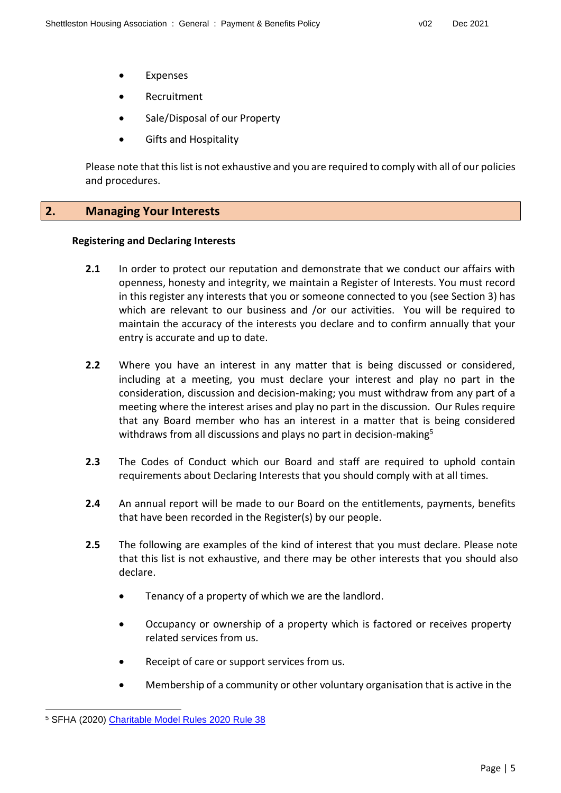- Expenses
- **•** Recruitment
- Sale/Disposal of our Property
- Gifts and Hospitality

Please note that this list is not exhaustive and you are required to comply with all of our policies and procedures.

# **2. Managing Your Interests**

### **Registering and Declaring Interests**

- **2.1** In order to protect our reputation and demonstrate that we conduct our affairs with openness, honesty and integrity, we maintain a Register of Interests. You must record in this register any interests that you or someone connected to you (see Section 3) has which are relevant to our business and /or our activities. You will be required to maintain the accuracy of the interests you declare and to confirm annually that your entry is accurate and up to date.
- **2.2** Where you have an interest in any matter that is being discussed or considered, including at a meeting, you must declare your interest and play no part in the consideration, discussion and decision-making; you must withdraw from any part of a meeting where the interest arises and play no part in the discussion. Our Rules require that any Board member who has an interest in a matter that is being considered withdraws from all discussions and plays no part in decision-making<sup>5</sup>
- **2.3** The Codes of Conduct which our Board and staff are required to uphold contain requirements about Declaring Interests that you should comply with at all times.
- **2.4** An annual report will be made to our Board on the entitlements, payments, benefits that have been recorded in the Register(s) by our people.
- **2.5** The following are examples of the kind of interest that you must declare. Please note that this list is not exhaustive, and there may be other interests that you should also declare.
	- Tenancy of a property of which we are the landlord.
	- Occupancy or ownership of a property which is factored or receives property related services from us.
	- Receipt of care or support services from us.
	- Membership of a community or other voluntary organisation that is active in the

l

<sup>5</sup> SFHA (2020) [Charitable Model Rules 2020 Rule 38](https://www.sfha.co.uk/download.php?file=1393)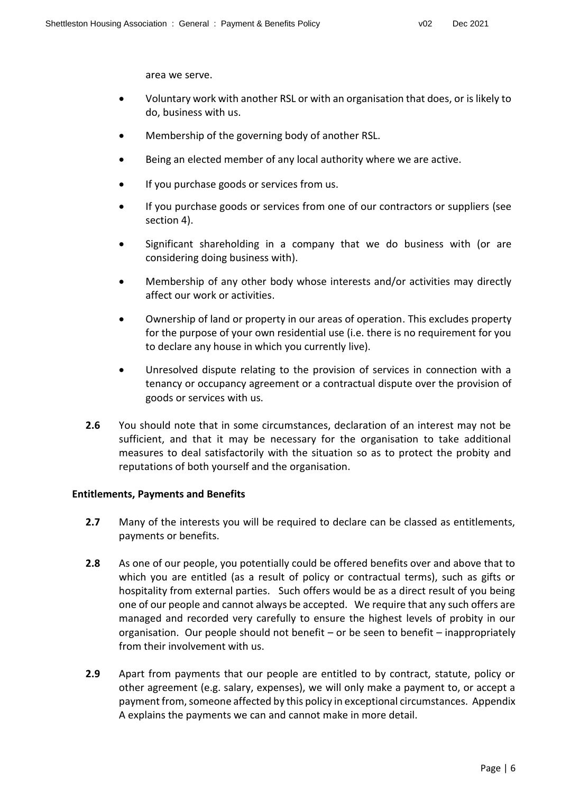area we serve.

- Voluntary work with another RSL or with an organisation that does, or is likely to do, business with us.
- Membership of the governing body of another RSL.
- Being an elected member of any local authority where we are active.
- If you purchase goods or services from us.
- If you purchase goods or services from one of our contractors or suppliers (see section 4).
- Significant shareholding in a company that we do business with (or are considering doing business with).
- Membership of any other body whose interests and/or activities may directly affect our work or activities.
- Ownership of land or property in our areas of operation. This excludes property for the purpose of your own residential use (i.e. there is no requirement for you to declare any house in which you currently live).
- Unresolved dispute relating to the provision of services in connection with a tenancy or occupancy agreement or a contractual dispute over the provision of goods or services with us.
- **2.6** You should note that in some circumstances, declaration of an interest may not be sufficient, and that it may be necessary for the organisation to take additional measures to deal satisfactorily with the situation so as to protect the probity and reputations of both yourself and the organisation.

# **Entitlements, Payments and Benefits**

- **2.7** Many of the interests you will be required to declare can be classed as entitlements, payments or benefits.
- **2.8** As one of our people, you potentially could be offered benefits over and above that to which you are entitled (as a result of policy or contractual terms), such as gifts or hospitality from external parties. Such offers would be as a direct result of you being one of our people and cannot always be accepted. We require that any such offers are managed and recorded very carefully to ensure the highest levels of probity in our organisation. Our people should not benefit – or be seen to benefit – inappropriately from their involvement with us.
- **2.9** Apart from payments that our people are entitled to by contract, statute, policy or other agreement (e.g. salary, expenses), we will only make a payment to, or accept a payment from, someone affected by this policy in exceptional circumstances. Appendix A explains the payments we can and cannot make in more detail.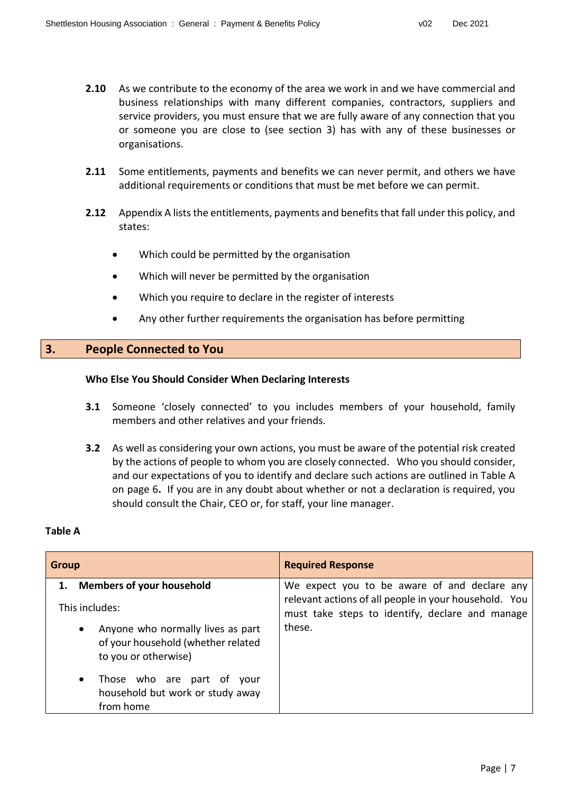- **2.10** As we contribute to the economy of the area we work in and we have commercial and business relationships with many different companies, contractors, suppliers and service providers, you must ensure that we are fully aware of any connection that you or someone you are close to (see section 3) has with any of these businesses or organisations.
- **2.11** Some entitlements, payments and benefits we can never permit, and others we have additional requirements or conditions that must be met before we can permit.
- **2.12** Appendix A lists the entitlements, payments and benefits that fall under this policy, and states:
	- Which could be permitted by the organisation
	- Which will never be permitted by the organisation
	- Which you require to declare in the register of interests
	- Any other further requirements the organisation has before permitting

# **3. People Connected to You**

### **Who Else You Should Consider When Declaring Interests**

- **3.1** Someone 'closely connected' to you includes members of your household, family members and other relatives and your friends.
- **3.2** As well as considering your own actions, you must be aware of the potential risk created by the actions of people to whom you are closely connected. Who you should consider, and our expectations of you to identify and declare such actions are outlined in Table A on page 6**.** If you are in any doubt about whether or not a declaration is required, you should consult the Chair, CEO or, for staff, your line manager.

#### **Table A**

| <b>Group</b>                                                                                                 | <b>Required Response</b>                                                                                 |
|--------------------------------------------------------------------------------------------------------------|----------------------------------------------------------------------------------------------------------|
| 1. Members of your household                                                                                 | We expect you to be aware of and declare any                                                             |
| This includes:                                                                                               | relevant actions of all people in your household. You<br>must take steps to identify, declare and manage |
| Anyone who normally lives as part<br>$\bullet$<br>of your household (whether related<br>to you or otherwise) | these.                                                                                                   |
| Those who are part of<br>$\bullet$<br>vour<br>household but work or study away<br>from home                  |                                                                                                          |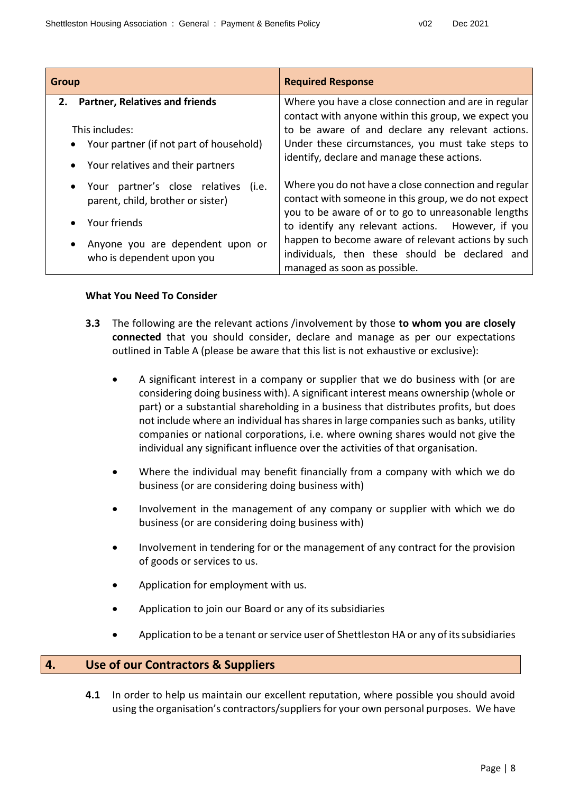| <b>Group</b>                                                                                                                                                  | <b>Required Response</b>                                                                                                                                                                                                                                                                                                                                         |
|---------------------------------------------------------------------------------------------------------------------------------------------------------------|------------------------------------------------------------------------------------------------------------------------------------------------------------------------------------------------------------------------------------------------------------------------------------------------------------------------------------------------------------------|
| <b>Partner, Relatives and friends</b><br>2.<br>This includes:<br>• Your partner (if not part of household)<br>Your relatives and their partners               | Where you have a close connection and are in regular<br>contact with anyone within this group, we expect you<br>to be aware of and declare any relevant actions.<br>Under these circumstances, you must take steps to<br>identify, declare and manage these actions.                                                                                             |
| Your partner's close relatives<br>(i.e.<br>parent, child, brother or sister)<br>Your friends<br>Anyone you are dependent upon or<br>who is dependent upon you | Where you do not have a close connection and regular<br>contact with someone in this group, we do not expect<br>you to be aware of or to go to unreasonable lengths<br>to identify any relevant actions. However, if you<br>happen to become aware of relevant actions by such<br>individuals, then these should be declared and<br>managed as soon as possible. |

# **What You Need To Consider**

- **3.3** The following are the relevant actions /involvement by those **to whom you are closely connected** that you should consider, declare and manage as per our expectations outlined in Table A (please be aware that this list is not exhaustive or exclusive):
	- A significant interest in a company or supplier that we do business with (or are considering doing business with). A significant interest means ownership (whole or part) or a substantial shareholding in a business that distributes profits, but does not include where an individual has shares in large companies such as banks, utility companies or national corporations, i.e. where owning shares would not give the individual any significant influence over the activities of that organisation.
	- Where the individual may benefit financially from a company with which we do business (or are considering doing business with)
	- Involvement in the management of any company or supplier with which we do business (or are considering doing business with)
	- Involvement in tendering for or the management of any contract for the provision of goods or services to us.
	- Application for employment with us.
	- Application to join our Board or any of its subsidiaries
	- Application to be a tenant or service user of Shettleston HA or any of its subsidiaries

# **4. Use of our Contractors & Suppliers**

**4.1** In order to help us maintain our excellent reputation, where possible you should avoid using the organisation's contractors/suppliers for your own personal purposes. We have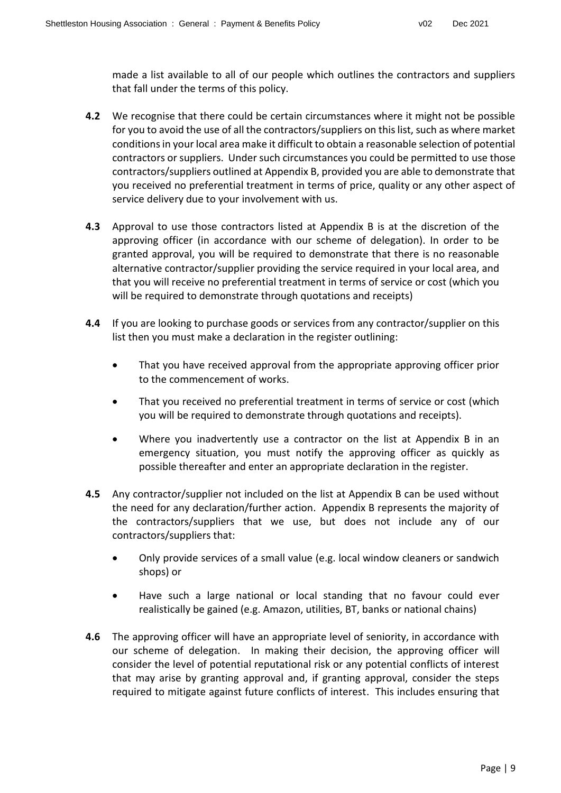made a list available to all of our people which outlines the contractors and suppliers that fall under the terms of this policy.

- **4.2** We recognise that there could be certain circumstances where it might not be possible for you to avoid the use of all the contractors/suppliers on this list, such as where market conditions in your local area make it difficult to obtain a reasonable selection of potential contractors or suppliers. Under such circumstances you could be permitted to use those contractors/suppliers outlined at Appendix B, provided you are able to demonstrate that you received no preferential treatment in terms of price, quality or any other aspect of service delivery due to your involvement with us.
- **4.3** Approval to use those contractors listed at Appendix B is at the discretion of the approving officer (in accordance with our scheme of delegation). In order to be granted approval, you will be required to demonstrate that there is no reasonable alternative contractor/supplier providing the service required in your local area, and that you will receive no preferential treatment in terms of service or cost (which you will be required to demonstrate through quotations and receipts)
- **4.4** If you are looking to purchase goods or services from any contractor/supplier on this list then you must make a declaration in the register outlining:
	- That you have received approval from the appropriate approving officer prior to the commencement of works.
	- That you received no preferential treatment in terms of service or cost (which you will be required to demonstrate through quotations and receipts).
	- Where you inadvertently use a contractor on the list at Appendix B in an emergency situation, you must notify the approving officer as quickly as possible thereafter and enter an appropriate declaration in the register.
- **4.5** Any contractor/supplier not included on the list at Appendix B can be used without the need for any declaration/further action. Appendix B represents the majority of the contractors/suppliers that we use, but does not include any of our contractors/suppliers that:
	- Only provide services of a small value (e.g. local window cleaners or sandwich shops) or
	- Have such a large national or local standing that no favour could ever realistically be gained (e.g. Amazon, utilities, BT, banks or national chains)
- **4.6** The approving officer will have an appropriate level of seniority, in accordance with our scheme of delegation.In making their decision, the approving officer will consider the level of potential reputational risk or any potential conflicts of interest that may arise by granting approval and, if granting approval, consider the steps required to mitigate against future conflicts of interest. This includes ensuring that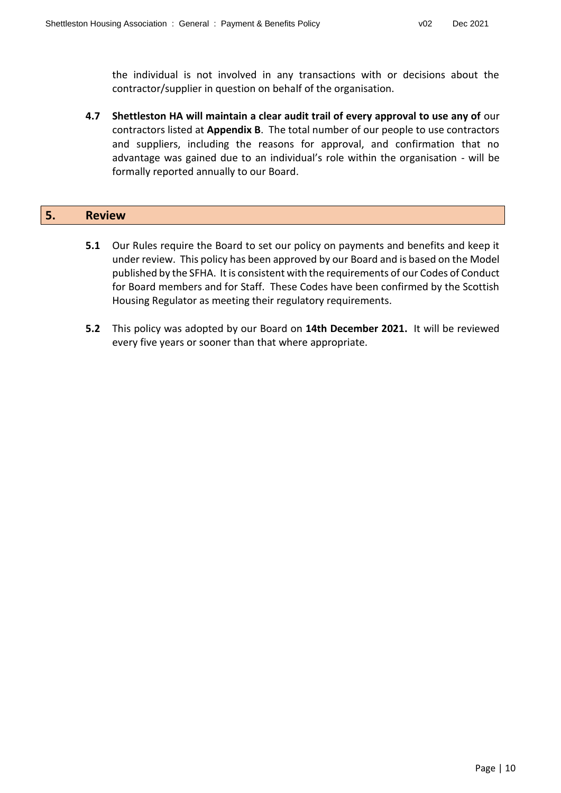the individual is not involved in any transactions with or decisions about the contractor/supplier in question on behalf of the organisation.

**4.7 Shettleston HA will maintain a clear audit trail of every approval to use any of** our contractors listed at **Appendix B**. The total number of our people to use contractors and suppliers, including the reasons for approval, and confirmation that no advantage was gained due to an individual's role within the organisation - will be formally reported annually to our Board.

| ь. | $\overline{\phantom{0}}$ | <b>Review</b> |  |  |  |  |
|----|--------------------------|---------------|--|--|--|--|
|----|--------------------------|---------------|--|--|--|--|

- **5.1** Our Rules require the Board to set our policy on payments and benefits and keep it under review. This policy has been approved by our Board and is based on the Model published by the SFHA. It is consistent with the requirements of our Codes of Conduct for Board members and for Staff. These Codes have been confirmed by the Scottish Housing Regulator as meeting their regulatory requirements.
- **5.2** This policy was adopted by our Board on **14th December 2021.** It will be reviewed every five years or sooner than that where appropriate.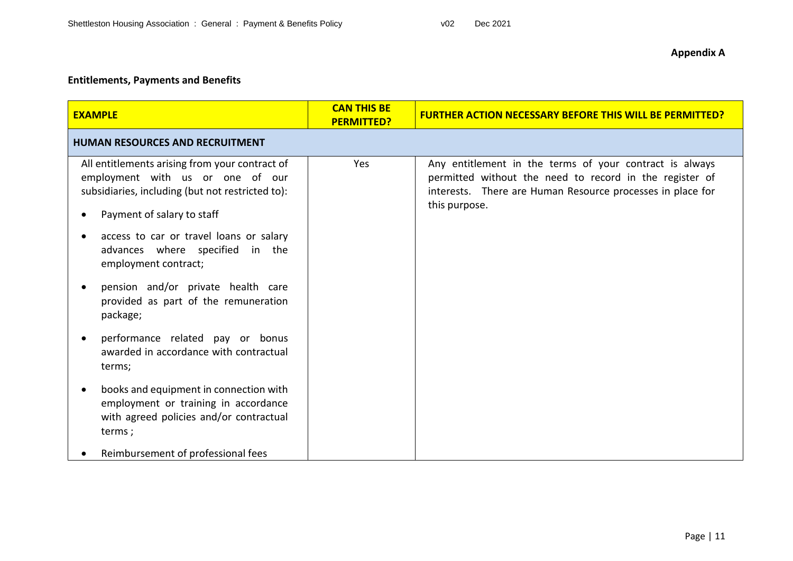# **Entitlements, Payments and Benefits**

| <b>EXAMPLE</b>                                                                                                                                                                    | <b>CAN THIS BE</b><br><b>PERMITTED?</b> | <b>FURTHER ACTION NECESSARY BEFORE THIS WILL BE PERMITTED?</b>                                                                                                                                    |  |  |
|-----------------------------------------------------------------------------------------------------------------------------------------------------------------------------------|-----------------------------------------|---------------------------------------------------------------------------------------------------------------------------------------------------------------------------------------------------|--|--|
| <b>HUMAN RESOURCES AND RECRUITMENT</b>                                                                                                                                            |                                         |                                                                                                                                                                                                   |  |  |
| All entitlements arising from your contract of<br>employment with us or one of our<br>subsidiaries, including (but not restricted to):<br>Payment of salary to staff<br>$\bullet$ | Yes                                     | Any entitlement in the terms of your contract is always<br>permitted without the need to record in the register of<br>interests. There are Human Resource processes in place for<br>this purpose. |  |  |
| access to car or travel loans or salary<br>$\bullet$<br>advances where specified in the<br>employment contract;                                                                   |                                         |                                                                                                                                                                                                   |  |  |
| pension and/or private health care<br>provided as part of the remuneration<br>package;                                                                                            |                                         |                                                                                                                                                                                                   |  |  |
| performance related pay or bonus<br>awarded in accordance with contractual<br>terms;                                                                                              |                                         |                                                                                                                                                                                                   |  |  |
| books and equipment in connection with<br>$\bullet$<br>employment or training in accordance<br>with agreed policies and/or contractual<br>terms;                                  |                                         |                                                                                                                                                                                                   |  |  |
| Reimbursement of professional fees                                                                                                                                                |                                         |                                                                                                                                                                                                   |  |  |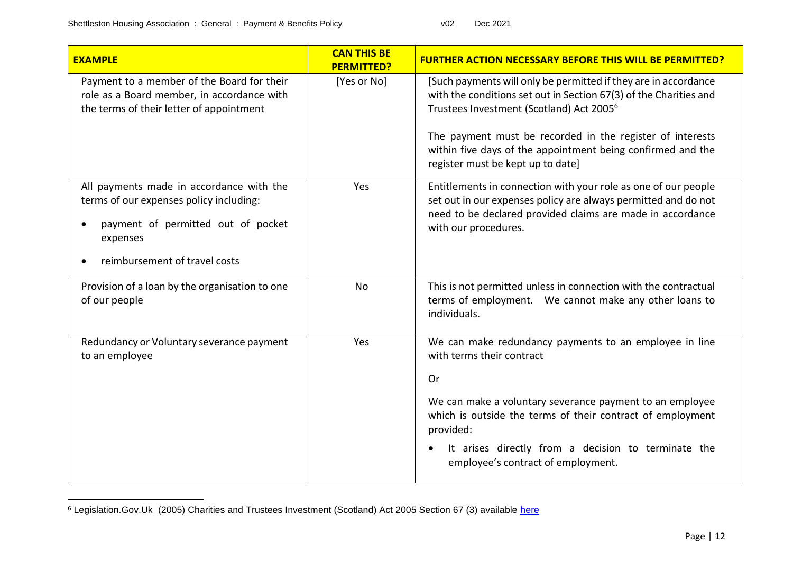$\overline{a}$ 

| <b>EXAMPLE</b>                                                                                                                                                         | <b>CAN THIS BE</b><br><b>PERMITTED?</b> | <b>FURTHER ACTION NECESSARY BEFORE THIS WILL BE PERMITTED?</b>                                                                                                                                                                                                                                                                                                |
|------------------------------------------------------------------------------------------------------------------------------------------------------------------------|-----------------------------------------|---------------------------------------------------------------------------------------------------------------------------------------------------------------------------------------------------------------------------------------------------------------------------------------------------------------------------------------------------------------|
| Payment to a member of the Board for their<br>role as a Board member, in accordance with<br>the terms of their letter of appointment                                   | [Yes or No]                             | [Such payments will only be permitted if they are in accordance<br>with the conditions set out in Section 67(3) of the Charities and<br>Trustees Investment (Scotland) Act 2005 <sup>6</sup><br>The payment must be recorded in the register of interests<br>within five days of the appointment being confirmed and the<br>register must be kept up to date] |
| All payments made in accordance with the<br>terms of our expenses policy including:<br>payment of permitted out of pocket<br>expenses<br>reimbursement of travel costs | Yes                                     | Entitlements in connection with your role as one of our people<br>set out in our expenses policy are always permitted and do not<br>need to be declared provided claims are made in accordance<br>with our procedures.                                                                                                                                        |
| Provision of a loan by the organisation to one<br>of our people                                                                                                        | <b>No</b>                               | This is not permitted unless in connection with the contractual<br>terms of employment. We cannot make any other loans to<br>individuals.                                                                                                                                                                                                                     |
| Redundancy or Voluntary severance payment<br>to an employee                                                                                                            | Yes                                     | We can make redundancy payments to an employee in line<br>with terms their contract<br><b>Or</b><br>We can make a voluntary severance payment to an employee<br>which is outside the terms of their contract of employment<br>provided:<br>It arises directly from a decision to terminate the<br>employee's contract of employment.                          |

<sup>&</sup>lt;sup>6</sup> Legislation.Gov.Uk (2005) Charities and Trustees Investment (Scotland) Act 2005 Section 67 (3) available <u>here</u>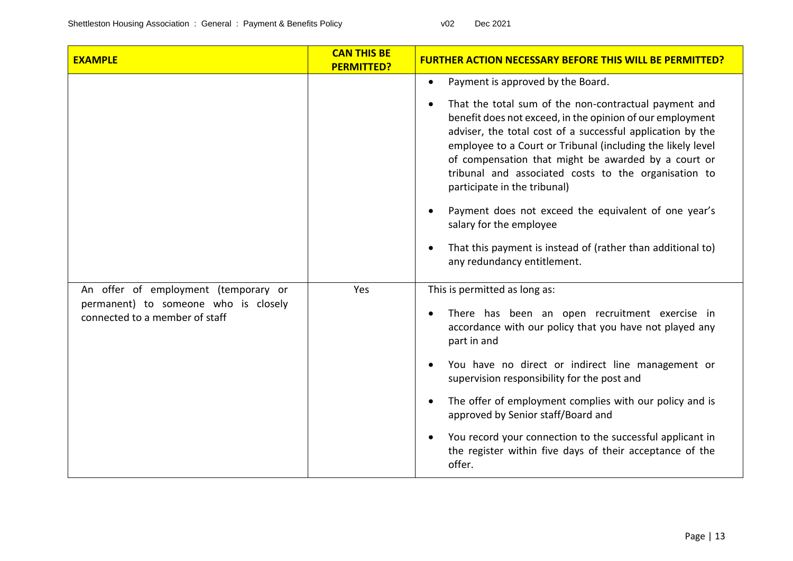| <b>EXAMPLE</b>                                                         | <b>CAN THIS BE</b><br><b>PERMITTED?</b> | <b>FURTHER ACTION NECESSARY BEFORE THIS WILL BE PERMITTED?</b>                                                                                                                                                                                                                                                                                                                                                                                                                                 |
|------------------------------------------------------------------------|-----------------------------------------|------------------------------------------------------------------------------------------------------------------------------------------------------------------------------------------------------------------------------------------------------------------------------------------------------------------------------------------------------------------------------------------------------------------------------------------------------------------------------------------------|
|                                                                        |                                         | Payment is approved by the Board.<br>$\bullet$                                                                                                                                                                                                                                                                                                                                                                                                                                                 |
|                                                                        |                                         | That the total sum of the non-contractual payment and<br>$\bullet$<br>benefit does not exceed, in the opinion of our employment<br>adviser, the total cost of a successful application by the<br>employee to a Court or Tribunal (including the likely level<br>of compensation that might be awarded by a court or<br>tribunal and associated costs to the organisation to<br>participate in the tribunal)<br>Payment does not exceed the equivalent of one year's<br>salary for the employee |
|                                                                        |                                         | That this payment is instead of (rather than additional to)<br>any redundancy entitlement.                                                                                                                                                                                                                                                                                                                                                                                                     |
| An offer of employment (temporary or                                   | Yes                                     | This is permitted as long as:                                                                                                                                                                                                                                                                                                                                                                                                                                                                  |
| permanent) to someone who is closely<br>connected to a member of staff |                                         | There has been an open recruitment exercise in<br>accordance with our policy that you have not played any<br>part in and                                                                                                                                                                                                                                                                                                                                                                       |
|                                                                        |                                         | You have no direct or indirect line management or<br>supervision responsibility for the post and                                                                                                                                                                                                                                                                                                                                                                                               |
|                                                                        |                                         | The offer of employment complies with our policy and is<br>approved by Senior staff/Board and                                                                                                                                                                                                                                                                                                                                                                                                  |
|                                                                        |                                         | You record your connection to the successful applicant in<br>$\bullet$<br>the register within five days of their acceptance of the<br>offer.                                                                                                                                                                                                                                                                                                                                                   |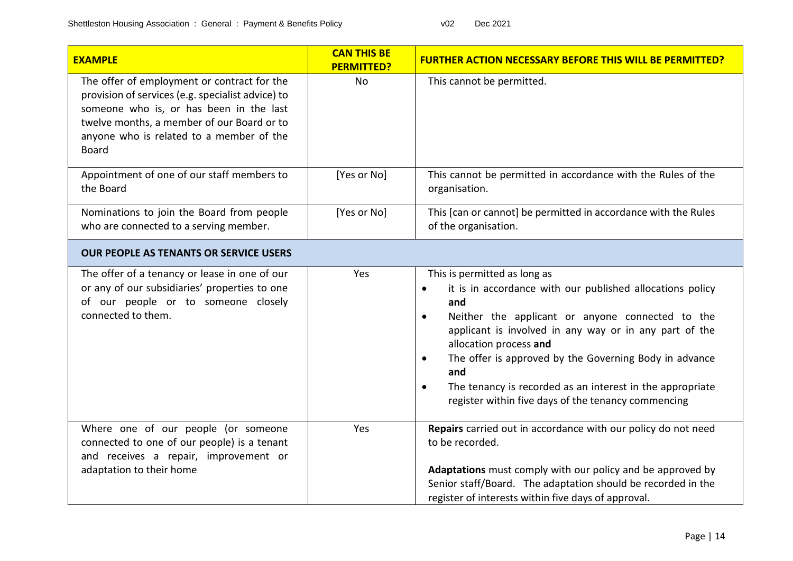| <b>EXAMPLE</b>                                                                                                                                                                                                                                        | <b>CAN THIS BE</b><br><b>PERMITTED?</b> | <b>FURTHER ACTION NECESSARY BEFORE THIS WILL BE PERMITTED?</b>                                                                                                                                                                                                                                                                                                                                                                                                                    |
|-------------------------------------------------------------------------------------------------------------------------------------------------------------------------------------------------------------------------------------------------------|-----------------------------------------|-----------------------------------------------------------------------------------------------------------------------------------------------------------------------------------------------------------------------------------------------------------------------------------------------------------------------------------------------------------------------------------------------------------------------------------------------------------------------------------|
| The offer of employment or contract for the<br>provision of services (e.g. specialist advice) to<br>someone who is, or has been in the last<br>twelve months, a member of our Board or to<br>anyone who is related to a member of the<br><b>Board</b> | <b>No</b>                               | This cannot be permitted.                                                                                                                                                                                                                                                                                                                                                                                                                                                         |
| Appointment of one of our staff members to<br>the Board                                                                                                                                                                                               | [Yes or No]                             | This cannot be permitted in accordance with the Rules of the<br>organisation.                                                                                                                                                                                                                                                                                                                                                                                                     |
| Nominations to join the Board from people<br>who are connected to a serving member.                                                                                                                                                                   | [Yes or No]                             | This [can or cannot] be permitted in accordance with the Rules<br>of the organisation.                                                                                                                                                                                                                                                                                                                                                                                            |
| <b>OUR PEOPLE AS TENANTS OR SERVICE USERS</b>                                                                                                                                                                                                         |                                         |                                                                                                                                                                                                                                                                                                                                                                                                                                                                                   |
| The offer of a tenancy or lease in one of our<br>or any of our subsidiaries' properties to one<br>of our people or to someone closely<br>connected to them.                                                                                           | Yes                                     | This is permitted as long as<br>it is in accordance with our published allocations policy<br>$\bullet$<br>and<br>Neither the applicant or anyone connected to the<br>$\bullet$<br>applicant is involved in any way or in any part of the<br>allocation process and<br>The offer is approved by the Governing Body in advance<br>$\bullet$<br>and<br>The tenancy is recorded as an interest in the appropriate<br>$\bullet$<br>register within five days of the tenancy commencing |
| Where one of our people (or someone<br>connected to one of our people) is a tenant<br>and receives a repair, improvement or<br>adaptation to their home                                                                                               | Yes                                     | Repairs carried out in accordance with our policy do not need<br>to be recorded.<br>Adaptations must comply with our policy and be approved by<br>Senior staff/Board. The adaptation should be recorded in the<br>register of interests within five days of approval.                                                                                                                                                                                                             |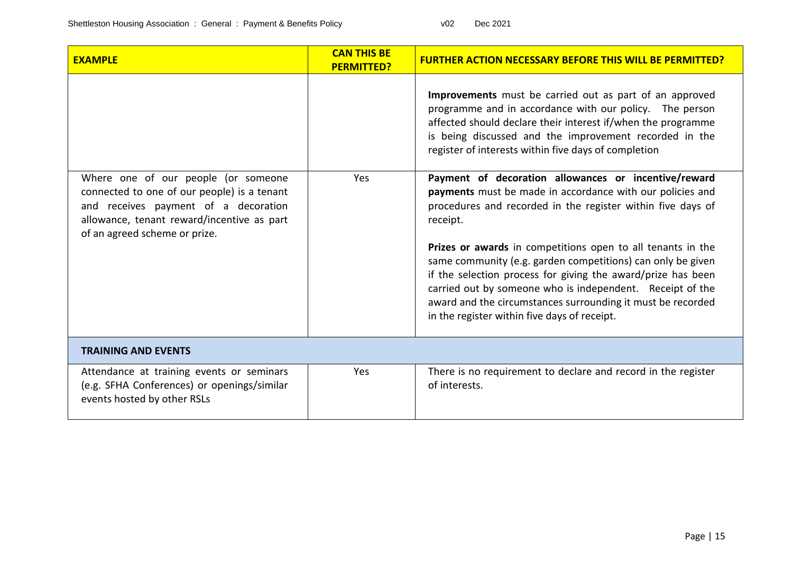| <b>EXAMPLE</b>                                                                                                                                                                                            | <b>CAN THIS BE</b><br><b>PERMITTED?</b> | <b>FURTHER ACTION NECESSARY BEFORE THIS WILL BE PERMITTED?</b>                                                                                                                                                                                                                                                                                                                                                                                                                                                                                                         |
|-----------------------------------------------------------------------------------------------------------------------------------------------------------------------------------------------------------|-----------------------------------------|------------------------------------------------------------------------------------------------------------------------------------------------------------------------------------------------------------------------------------------------------------------------------------------------------------------------------------------------------------------------------------------------------------------------------------------------------------------------------------------------------------------------------------------------------------------------|
|                                                                                                                                                                                                           |                                         | Improvements must be carried out as part of an approved<br>programme and in accordance with our policy. The person<br>affected should declare their interest if/when the programme<br>is being discussed and the improvement recorded in the<br>register of interests within five days of completion                                                                                                                                                                                                                                                                   |
| Where one of our people (or someone<br>connected to one of our people) is a tenant<br>and receives payment of a decoration<br>allowance, tenant reward/incentive as part<br>of an agreed scheme or prize. | Yes                                     | Payment of decoration allowances or incentive/reward<br>payments must be made in accordance with our policies and<br>procedures and recorded in the register within five days of<br>receipt.<br>Prizes or awards in competitions open to all tenants in the<br>same community (e.g. garden competitions) can only be given<br>if the selection process for giving the award/prize has been<br>carried out by someone who is independent. Receipt of the<br>award and the circumstances surrounding it must be recorded<br>in the register within five days of receipt. |
| <b>TRAINING AND EVENTS</b>                                                                                                                                                                                |                                         |                                                                                                                                                                                                                                                                                                                                                                                                                                                                                                                                                                        |
| Attendance at training events or seminars<br>(e.g. SFHA Conferences) or openings/similar<br>events hosted by other RSLs                                                                                   | Yes                                     | There is no requirement to declare and record in the register<br>of interests.                                                                                                                                                                                                                                                                                                                                                                                                                                                                                         |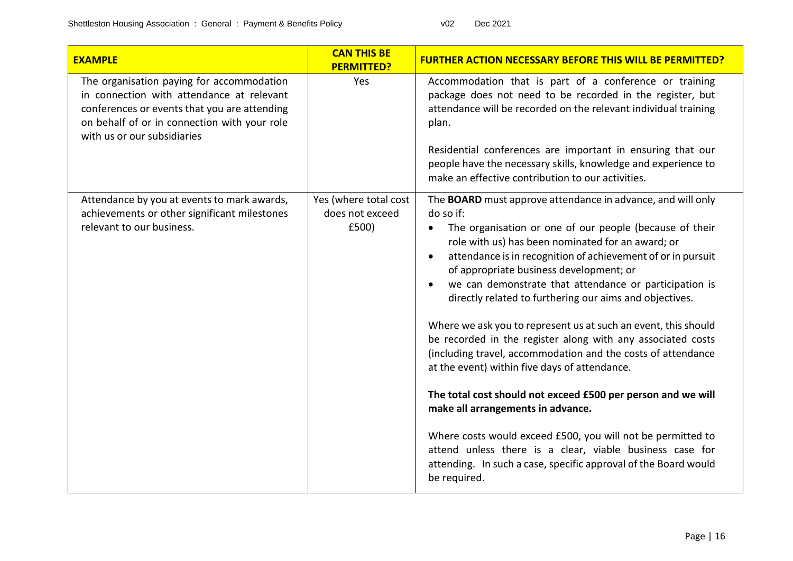| <b>EXAMPLE</b>                                                                                                                                                                                                        | <b>CAN THIS BE</b><br><b>PERMITTED?</b>           | <b>FURTHER ACTION NECESSARY BEFORE THIS WILL BE PERMITTED?</b>                                                                                                                                                                                                                                                                                                                                                                                                                                                                                                                                                                                                                                                                                                                                                                                                                                                                                                                                                                      |
|-----------------------------------------------------------------------------------------------------------------------------------------------------------------------------------------------------------------------|---------------------------------------------------|-------------------------------------------------------------------------------------------------------------------------------------------------------------------------------------------------------------------------------------------------------------------------------------------------------------------------------------------------------------------------------------------------------------------------------------------------------------------------------------------------------------------------------------------------------------------------------------------------------------------------------------------------------------------------------------------------------------------------------------------------------------------------------------------------------------------------------------------------------------------------------------------------------------------------------------------------------------------------------------------------------------------------------------|
| The organisation paying for accommodation<br>in connection with attendance at relevant<br>conferences or events that you are attending<br>on behalf of or in connection with your role<br>with us or our subsidiaries | Yes                                               | Accommodation that is part of a conference or training<br>package does not need to be recorded in the register, but<br>attendance will be recorded on the relevant individual training<br>plan.<br>Residential conferences are important in ensuring that our<br>people have the necessary skills, knowledge and experience to<br>make an effective contribution to our activities.                                                                                                                                                                                                                                                                                                                                                                                                                                                                                                                                                                                                                                                 |
| Attendance by you at events to mark awards,<br>achievements or other significant milestones<br>relevant to our business.                                                                                              | Yes (where total cost<br>does not exceed<br>£500) | The <b>BOARD</b> must approve attendance in advance, and will only<br>do so if:<br>The organisation or one of our people (because of their<br>٠<br>role with us) has been nominated for an award; or<br>attendance is in recognition of achievement of or in pursuit<br>$\bullet$<br>of appropriate business development; or<br>we can demonstrate that attendance or participation is<br>$\bullet$<br>directly related to furthering our aims and objectives.<br>Where we ask you to represent us at such an event, this should<br>be recorded in the register along with any associated costs<br>(including travel, accommodation and the costs of attendance<br>at the event) within five days of attendance.<br>The total cost should not exceed £500 per person and we will<br>make all arrangements in advance.<br>Where costs would exceed £500, you will not be permitted to<br>attend unless there is a clear, viable business case for<br>attending. In such a case, specific approval of the Board would<br>be required. |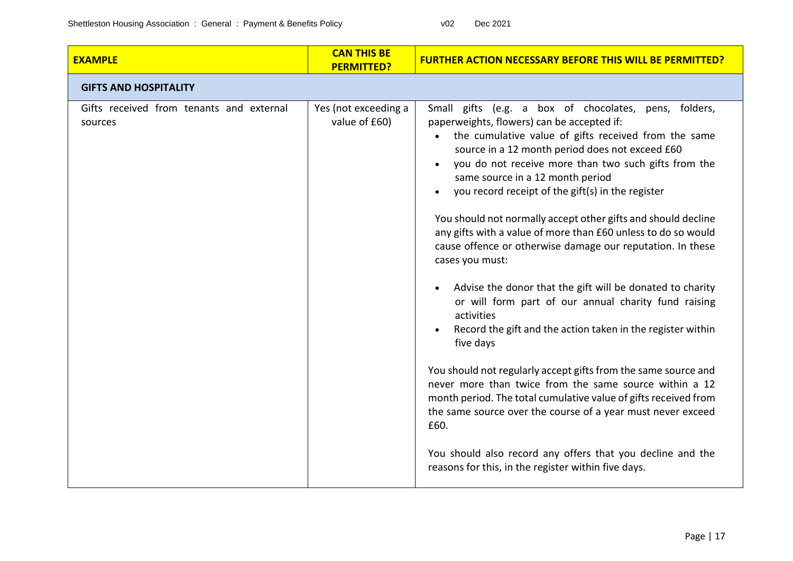| <b>EXAMPLE</b>                                      | <b>CAN THIS BE</b><br><b>PERMITTED?</b> | <b>FURTHER ACTION NECESSARY BEFORE THIS WILL BE PERMITTED?</b>                                                                                                                                                                                                                                                                                                                                                                                                                                                                                                                                                                                                                                                                                                                                                                                                                                                                                                                                                                                                                                                                                                                               |
|-----------------------------------------------------|-----------------------------------------|----------------------------------------------------------------------------------------------------------------------------------------------------------------------------------------------------------------------------------------------------------------------------------------------------------------------------------------------------------------------------------------------------------------------------------------------------------------------------------------------------------------------------------------------------------------------------------------------------------------------------------------------------------------------------------------------------------------------------------------------------------------------------------------------------------------------------------------------------------------------------------------------------------------------------------------------------------------------------------------------------------------------------------------------------------------------------------------------------------------------------------------------------------------------------------------------|
| <b>GIFTS AND HOSPITALITY</b>                        |                                         |                                                                                                                                                                                                                                                                                                                                                                                                                                                                                                                                                                                                                                                                                                                                                                                                                                                                                                                                                                                                                                                                                                                                                                                              |
| Gifts received from tenants and external<br>sources | Yes (not exceeding a<br>value of £60)   | Small gifts (e.g. a box of chocolates, pens, folders,<br>paperweights, flowers) can be accepted if:<br>the cumulative value of gifts received from the same<br>source in a 12 month period does not exceed £60<br>you do not receive more than two such gifts from the<br>same source in a 12 month period<br>you record receipt of the gift(s) in the register<br>You should not normally accept other gifts and should decline<br>any gifts with a value of more than £60 unless to do so would<br>cause offence or otherwise damage our reputation. In these<br>cases you must:<br>Advise the donor that the gift will be donated to charity<br>or will form part of our annual charity fund raising<br>activities<br>Record the gift and the action taken in the register within<br>five days<br>You should not regularly accept gifts from the same source and<br>never more than twice from the same source within a 12<br>month period. The total cumulative value of gifts received from<br>the same source over the course of a year must never exceed<br>£60.<br>You should also record any offers that you decline and the<br>reasons for this, in the register within five days. |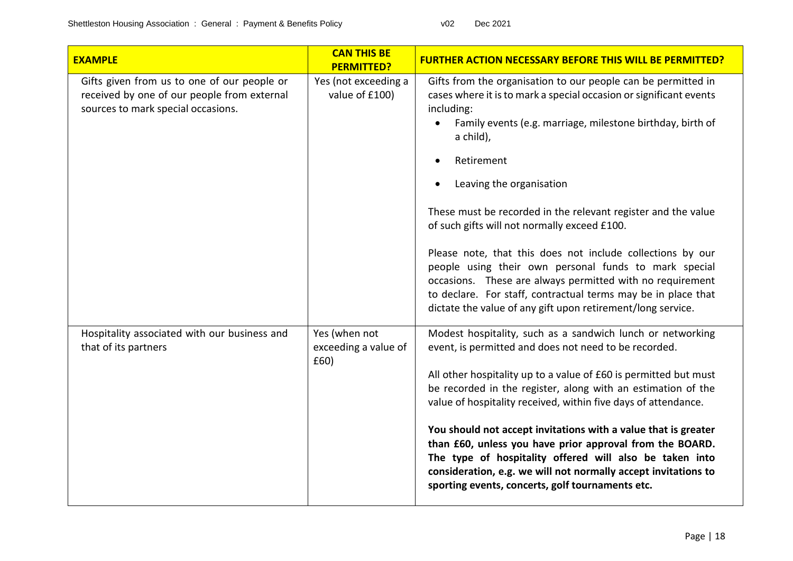| <b>EXAMPLE</b>                                                                                                                   | <b>CAN THIS BE</b><br><b>PERMITTED?</b>       | <b>FURTHER ACTION NECESSARY BEFORE THIS WILL BE PERMITTED?</b>                                                                                                                                                                                                                                                                                                                                                                                                                                                                                                                                                                                                                                              |
|----------------------------------------------------------------------------------------------------------------------------------|-----------------------------------------------|-------------------------------------------------------------------------------------------------------------------------------------------------------------------------------------------------------------------------------------------------------------------------------------------------------------------------------------------------------------------------------------------------------------------------------------------------------------------------------------------------------------------------------------------------------------------------------------------------------------------------------------------------------------------------------------------------------------|
| Gifts given from us to one of our people or<br>received by one of our people from external<br>sources to mark special occasions. | Yes (not exceeding a<br>value of £100)        | Gifts from the organisation to our people can be permitted in<br>cases where it is to mark a special occasion or significant events<br>including:<br>Family events (e.g. marriage, milestone birthday, birth of<br>a child),<br>Retirement<br>Leaving the organisation<br>These must be recorded in the relevant register and the value<br>of such gifts will not normally exceed £100.<br>Please note, that this does not include collections by our<br>people using their own personal funds to mark special<br>occasions. These are always permitted with no requirement<br>to declare. For staff, contractual terms may be in place that<br>dictate the value of any gift upon retirement/long service. |
| Hospitality associated with our business and<br>that of its partners                                                             | Yes (when not<br>exceeding a value of<br>£60) | Modest hospitality, such as a sandwich lunch or networking<br>event, is permitted and does not need to be recorded.<br>All other hospitality up to a value of £60 is permitted but must<br>be recorded in the register, along with an estimation of the<br>value of hospitality received, within five days of attendance.<br>You should not accept invitations with a value that is greater<br>than £60, unless you have prior approval from the BOARD.<br>The type of hospitality offered will also be taken into<br>consideration, e.g. we will not normally accept invitations to<br>sporting events, concerts, golf tournaments etc.                                                                    |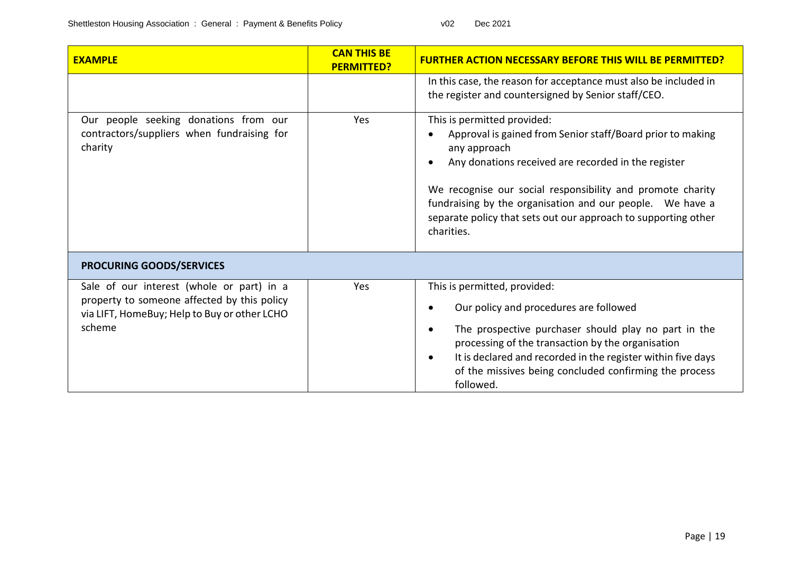| <b>EXAMPLE</b>                                                                                                                                     | <b>CAN THIS BE</b><br><b>PERMITTED?</b> | <b>FURTHER ACTION NECESSARY BEFORE THIS WILL BE PERM</b>                                                                                                                                                                                                                                                                                                                    |  |
|----------------------------------------------------------------------------------------------------------------------------------------------------|-----------------------------------------|-----------------------------------------------------------------------------------------------------------------------------------------------------------------------------------------------------------------------------------------------------------------------------------------------------------------------------------------------------------------------------|--|
|                                                                                                                                                    |                                         | In this case, the reason for acceptance must also be included in<br>the register and countersigned by Senior staff/CEO.                                                                                                                                                                                                                                                     |  |
| Our people seeking donations from our<br>contractors/suppliers when fundraising for<br>charity                                                     | Yes                                     | This is permitted provided:<br>Approval is gained from Senior staff/Board prior to making<br>any approach<br>Any donations received are recorded in the register<br>We recognise our social responsibility and promote charity<br>fundraising by the organisation and our people. We have a<br>separate policy that sets out our approach to supporting other<br>charities. |  |
| <b>PROCURING GOODS/SERVICES</b>                                                                                                                    |                                         |                                                                                                                                                                                                                                                                                                                                                                             |  |
| Sale of our interest (whole or part) in a<br>property to someone affected by this policy<br>via LIFT, HomeBuy; Help to Buy or other LCHO<br>scheme | Yes                                     | This is permitted, provided:<br>Our policy and procedures are followed<br>The prospective purchaser should play no part in the<br>processing of the transaction by the organisation<br>It is declared and recorded in the register within five days<br>of the missives being concluded confirming the process<br>followed.                                                  |  |